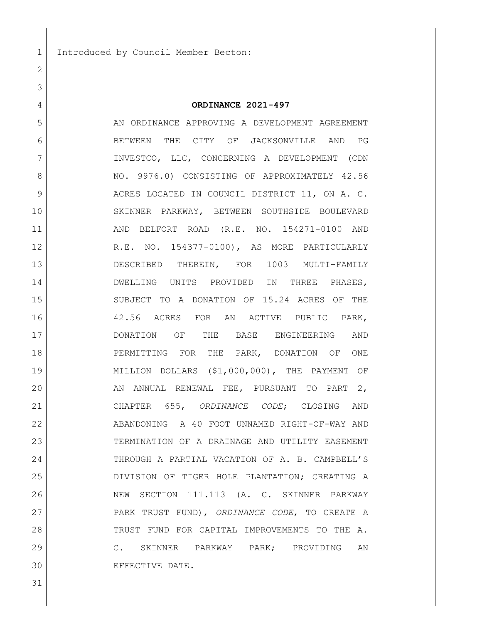1 Introduced by Council Member Becton:

## **ORDINANCE 2021-497**

5 AN ORDINANCE APPROVING A DEVELOPMENT AGREEMENT BETWEEN THE CITY OF JACKSONVILLE AND PG INVESTCO, LLC, CONCERNING A DEVELOPMENT (CDN 8 NO. 9976.0) CONSISTING OF APPROXIMATELY 42.56 9 ACRES LOCATED IN COUNCIL DISTRICT 11, ON A. C. SKINNER PARKWAY, BETWEEN SOUTHSIDE BOULEVARD 11 | AND BELFORT ROAD (R.E. NO. 154271-0100 AND 12 R.E. NO. 154377-0100), AS MORE PARTICULARLY DESCRIBED THEREIN, FOR 1003 MULTI-FAMILY **DWELLING UNITS PROVIDED IN THREE PHASES,**  SUBJECT TO A DONATION OF 15.24 ACRES OF THE 42.56 ACRES FOR AN ACTIVE PUBLIC PARK, DONATION OF THE BASE ENGINEERING AND 18 PERMITTING FOR THE PARK, DONATION OF ONE MILLION DOLLARS (\$1,000,000), THE PAYMENT OF 20 AN ANNUAL RENEWAL FEE, PURSUANT TO PART 2, CHAPTER 655, *ORDINANCE CODE*; CLOSING AND ABANDONING A 40 FOOT UNNAMED RIGHT-OF-WAY AND TERMINATION OF A DRAINAGE AND UTILITY EASEMENT THROUGH A PARTIAL VACATION OF A. B. CAMPBELL'S DIVISION OF TIGER HOLE PLANTATION; CREATING A NEW SECTION 111.113 (A. C. SKINNER PARKWAY PARK TRUST FUND), *ORDINANCE CODE*, TO CREATE A 28 TRUST FUND FOR CAPITAL IMPROVEMENTS TO THE A. C. SKINNER PARKWAY PARK; PROVIDING AN EFFECTIVE DATE.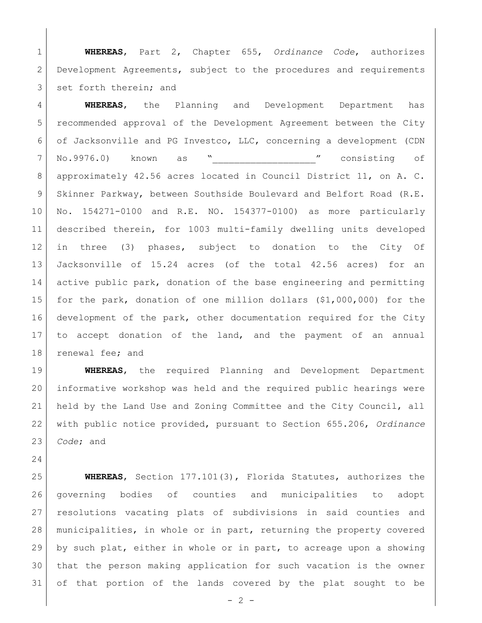**WHEREAS**, Part 2, Chapter 655, *Ordinance Code*, authorizes Development Agreements, subject to the procedures and requirements 3 set forth therein; and

 **WHEREAS**, the Planning and Development Department has recommended approval of the Development Agreement between the City of Jacksonville and PG Investco, LLC, concerning a development (CDN No.9976.0) known as "\_\_\_\_\_\_\_\_\_\_\_\_\_\_\_\_\_\_\_" consisting of approximately 42.56 acres located in Council District 11, on A. C. 9 Skinner Parkway, between Southside Boulevard and Belfort Road (R.E. No. 154271-0100 and R.E. NO. 154377-0100) as more particularly described therein, for 1003 multi-family dwelling units developed in three (3) phases, subject to donation to the City Of Jacksonville of 15.24 acres (of the total 42.56 acres) for an active public park, donation of the base engineering and permitting for the park, donation of one million dollars (\$1,000,000) for the development of the park, other documentation required for the City to accept donation of the land, and the payment of an annual 18 renewal fee; and

 **WHEREAS**, the required Planning and Development Department informative workshop was held and the required public hearings were held by the Land Use and Zoning Committee and the City Council, all with public notice provided, pursuant to Section 655.206, *Ordinance Code*; and

 **WHEREAS**, Section 177.101(3), Florida Statutes, authorizes the governing bodies of counties and municipalities to adopt resolutions vacating plats of subdivisions in said counties and municipalities, in whole or in part, returning the property covered by such plat, either in whole or in part, to acreage upon a showing that the person making application for such vacation is the owner of that portion of the lands covered by the plat sought to be

 $- 2 -$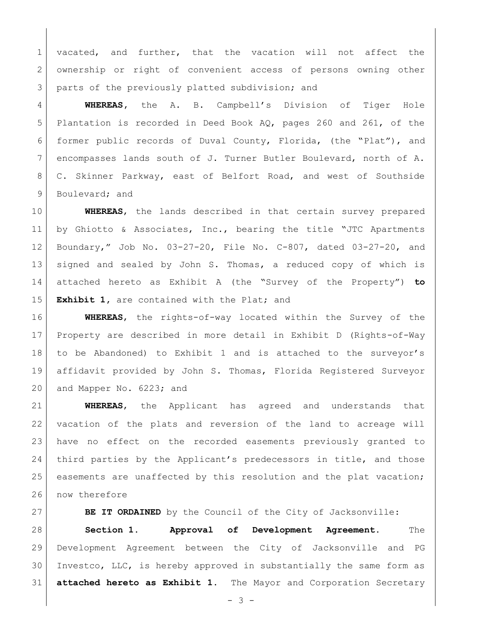1 vacated, and further, that the vacation will not affect the 2 ownership or right of convenient access of persons owning other 3 | parts of the previously platted subdivision; and

 **WHEREAS,** the A. B. Campbell's Division of Tiger Hole Plantation is recorded in Deed Book AQ, pages 260 and 261, of the former public records of Duval County, Florida, (the "Plat"), and encompasses lands south of J. Turner Butler Boulevard, north of A. C. Skinner Parkway, east of Belfort Road, and west of Southside 9 Boulevard; and

 **WHEREAS**, the lands described in that certain survey prepared 11 by Ghiotto & Associates, Inc., bearing the title "JTC Apartments Boundary," Job No. 03-27-20, File No. C-807, dated 03-27-20, and signed and sealed by John S. Thomas, a reduced copy of which is attached hereto as Exhibit A (the "Survey of the Property") **to Exhibit 1,** are contained with the Plat; and

 **WHEREAS**, the rights-of-way located within the Survey of the Property are described in more detail in Exhibit D (Rights-of-Way to be Abandoned) to Exhibit 1 and is attached to the surveyor's affidavit provided by John S. Thomas, Florida Registered Surveyor 20 and Mapper No. 6223; and

 **WHEREAS**, the Applicant has agreed and understands that vacation of the plats and reversion of the land to acreage will have no effect on the recorded easements previously granted to third parties by the Applicant's predecessors in title, and those easements are unaffected by this resolution and the plat vacation; 26 now therefore

**BE IT ORDAINED** by the Council of the City of Jacksonville: **Section 1. Approval of Development Agreement.** The Development Agreement between the City of Jacksonville and PG Investco, LLC, is hereby approved in substantially the same form as **attached hereto as Exhibit 1**. The Mayor and Corporation Secretary

- 3 -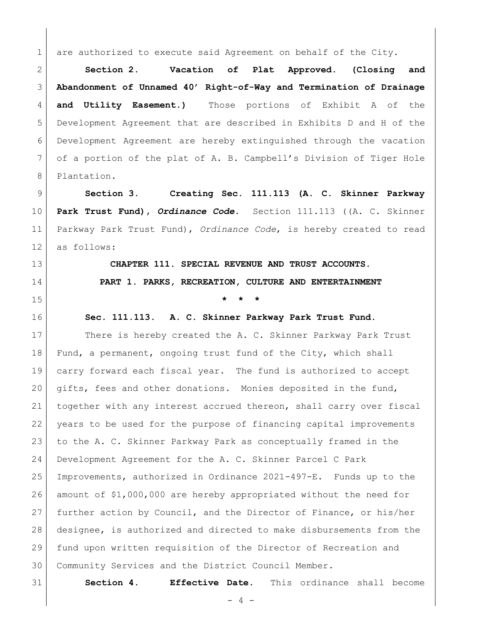1 are authorized to execute said Agreement on behalf of the City.

 **Section 2. Vacation of Plat Approved. (Closing and Abandonment of Unnamed 40' Right-of-Way and Termination of Drainage and Utility Easement.)** Those portions of Exhibit A of the Development Agreement that are described in Exhibits D and H of the Development Agreement are hereby extinguished through the vacation of a portion of the plat of A. B. Campbell's Division of Tiger Hole Plantation.

 **Section 3. Creating Sec. 111.113 (A. C. Skinner Parkway Park Trust Fund),** *Ordinance Code***.** Section 111.113 ((A. C. Skinner Parkway Park Trust Fund), *Ordinance Code*, is hereby created to read as follows:

 **CHAPTER 111. SPECIAL REVENUE AND TRUST ACCOUNTS. PART 1. PARKS, RECREATION, CULTURE AND ENTERTAINMENT \* \* \***

**Sec. 111.113. A. C. Skinner Parkway Park Trust Fund.**

17 There is hereby created the A. C. Skinner Parkway Park Trust Fund, a permanent, ongoing trust fund of the City, which shall carry forward each fiscal year. The fund is authorized to accept gifts, fees and other donations. Monies deposited in the fund, together with any interest accrued thereon, shall carry over fiscal years to be used for the purpose of financing capital improvements to the A. C. Skinner Parkway Park as conceptually framed in the Development Agreement for the A. C. Skinner Parcel C Park Improvements, authorized in Ordinance 2021-497-E. Funds up to the amount of \$1,000,000 are hereby appropriated without the need for further action by Council, and the Director of Finance, or his/her designee, is authorized and directed to make disbursements from the fund upon written requisition of the Director of Recreation and Community Services and the District Council Member.

**Section 4. Effective Date.** This ordinance shall become